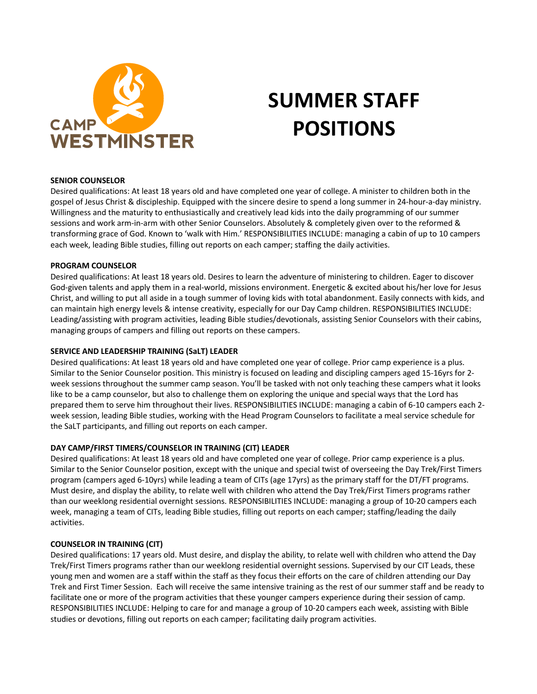

# **SUMMER STAFF POSITIONS**

## **SENIOR COUNSELOR**

Desired qualifications: At least 18 years old and have completed one year of college. A minister to children both in the gospel of Jesus Christ & discipleship. Equipped with the sincere desire to spend a long summer in 24-hour-a-day ministry. Willingness and the maturity to enthusiastically and creatively lead kids into the daily programming of our summer sessions and work arm-in-arm with other Senior Counselors. Absolutely & completely given over to the reformed & transforming grace of God. Known to 'walk with Him.' RESPONSIBILITIES INCLUDE: managing a cabin of up to 10 campers each week, leading Bible studies, filling out reports on each camper; staffing the daily activities.

### **PROGRAM COUNSELOR**

Desired qualifications: At least 18 years old. Desires to learn the adventure of ministering to children. Eager to discover God-given talents and apply them in a real-world, missions environment. Energetic & excited about his/her love for Jesus Christ, and willing to put all aside in a tough summer of loving kids with total abandonment. Easily connects with kids, and can maintain high energy levels & intense creativity, especially for our Day Camp children. RESPONSIBILITIES INCLUDE: Leading/assisting with program activities, leading Bible studies/devotionals, assisting Senior Counselors with their cabins, managing groups of campers and filling out reports on these campers.

## **SERVICE AND LEADERSHIP TRAINING (SaLT) LEADER**

Desired qualifications: At least 18 years old and have completed one year of college. Prior camp experience is a plus. Similar to the Senior Counselor position. This ministry is focused on leading and discipling campers aged 15-16yrs for 2 week sessions throughout the summer camp season. You'll be tasked with not only teaching these campers what it looks like to be a camp counselor, but also to challenge them on exploring the unique and special ways that the Lord has prepared them to serve him throughout their lives. RESPONSIBILITIES INCLUDE: managing a cabin of 6-10 campers each 2 week session, leading Bible studies, working with the Head Program Counselors to facilitate a meal service schedule for the SaLT participants, and filling out reports on each camper.

# **DAY CAMP/FIRST TIMERS/COUNSELOR IN TRAINING (CIT) LEADER**

Desired qualifications: At least 18 years old and have completed one year of college. Prior camp experience is a plus. Similar to the Senior Counselor position, except with the unique and special twist of overseeing the Day Trek/First Timers program (campers aged 6-10yrs) while leading a team of CITs (age 17yrs) as the primary staff for the DT/FT programs. Must desire, and display the ability, to relate well with children who attend the Day Trek/First Timers programs rather than our weeklong residential overnight sessions. RESPONSIBILITIES INCLUDE: managing a group of 10-20 campers each week, managing a team of CITs, leading Bible studies, filling out reports on each camper; staffing/leading the daily activities.

# **COUNSELOR IN TRAINING (CIT)**

Desired qualifications: 17 years old. Must desire, and display the ability, to relate well with children who attend the Day Trek/First Timers programs rather than our weeklong residential overnight sessions. Supervised by our CIT Leads, these young men and women are a staff within the staff as they focus their efforts on the care of children attending our Day Trek and First Timer Session. Each will receive the same intensive training as the rest of our summer staff and be ready to facilitate one or more of the program activities that these younger campers experience during their session of camp. RESPONSIBILITIES INCLUDE: Helping to care for and manage a group of 10-20 campers each week, assisting with Bible studies or devotions, filling out reports on each camper; facilitating daily program activities.